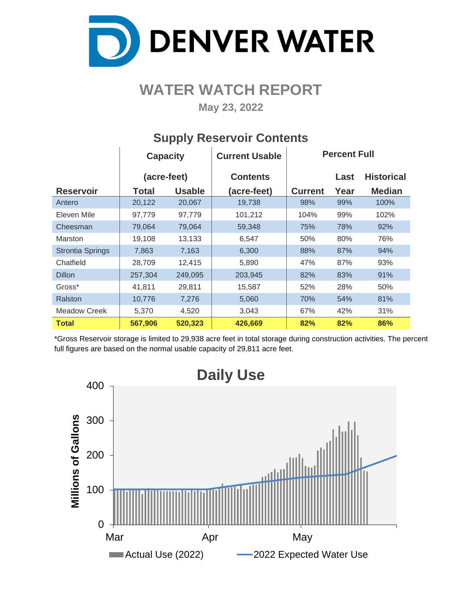

# **WATER WATCH REPORT**

**May 23, 2022**

|                         | <b>Capacity</b> |               | <b>Current Usable</b> |                | <b>Percent Full</b> |                   |  |  |
|-------------------------|-----------------|---------------|-----------------------|----------------|---------------------|-------------------|--|--|
|                         | (acre-feet)     |               | <b>Contents</b>       |                | Last                | <b>Historical</b> |  |  |
| <b>Reservoir</b>        | Total           | <b>Usable</b> | (acre-feet)           | <b>Current</b> | Year                | <b>Median</b>     |  |  |
| Antero                  | 20,122          | 20,067        | 19,738                | 98%            | 99%                 | 100%              |  |  |
| Eleven Mile             | 97,779          | 97,779        | 101,212               | 104%           | 99%                 | 102%              |  |  |
| Cheesman                | 79,064          | 79,064        | 59,348                | 75%            | 78%                 | 92%               |  |  |
| Marston                 | 19,108          | 13,133        | 6,547                 | 50%            | 80%                 | 76%               |  |  |
| <b>Strontia Springs</b> | 7,863           | 7,163         | 6,300                 | 88%            | 87%                 | 94%               |  |  |
| Chatfield               | 28,709          | 12,415        | 5,890                 | 47%            | 87%                 | 93%               |  |  |
| <b>Dillon</b>           | 257,304         | 249,095       | 203,945               | 82%            | 83%                 | 91%               |  |  |
| Gross*                  | 41,811          | 29,811        | 15,587                | 52%            | 28%                 | 50%               |  |  |
| Ralston                 | 10,776          | 7,276         | 5,060                 | 70%            | 54%                 | 81%               |  |  |
| <b>Meadow Creek</b>     | 5,370           | 4,520         | 3,043                 | 67%            | 42%                 | 31%               |  |  |
| <b>Total</b>            | 567,906         | 520,323       | 426,669               | 82%            | 82%                 | 86%               |  |  |

## **Supply Reservoir Contents**

\*Gross Reservoir storage is limited to 29,938 acre feet in total storage during construction activities. The percent full figures are based on the normal usable capacity of 29,811 acre feet.

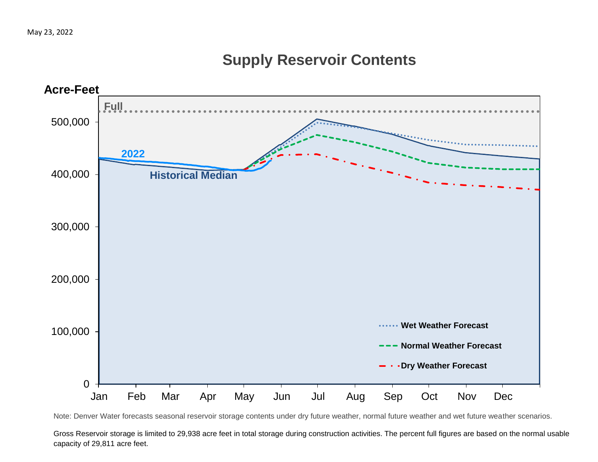## **Supply Reservoir Contents**



Note: Denver Water forecasts seasonal reservoir storage contents under dry future weather, normal future weather and wet future weather scenarios.

Gross Reservoir storage is limited to 29,938 acre feet in total storage during construction activities. The percent full figures are based on the normal usable capacity of 29,811 acre feet.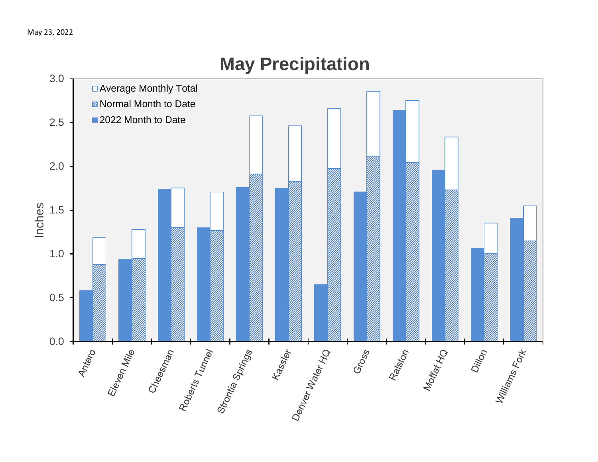

# **May Precipitation**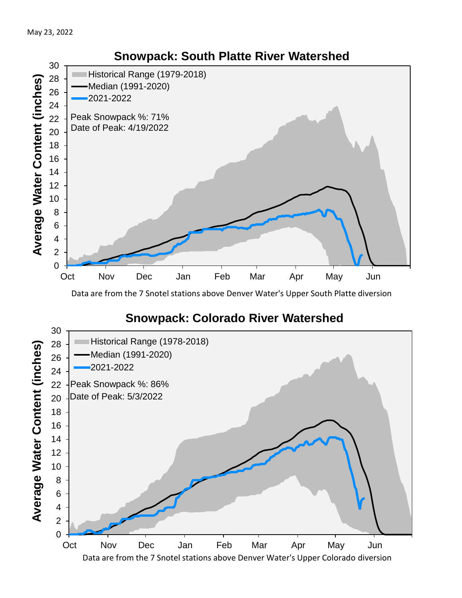

Data are from the 7 Snotel stations above Denver Water's Upper South Platte diversion

## **Snowpack: Colorado River Watershed**

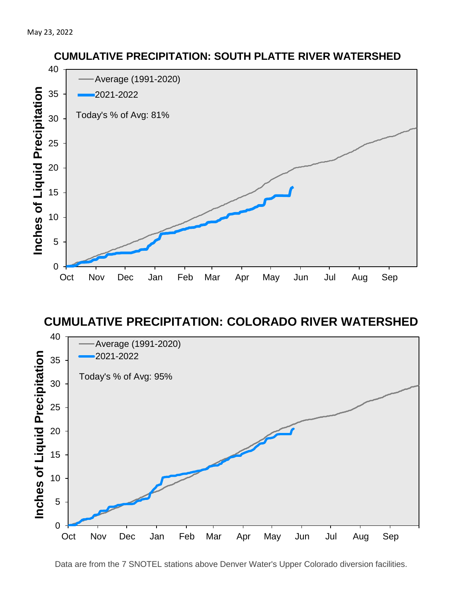

### **CUMULATIVE PRECIPITATION: COLORADO RIVER WATERSHED**



Data are from the 7 SNOTEL stations above Denver Water's Upper Colorado diversion facilities.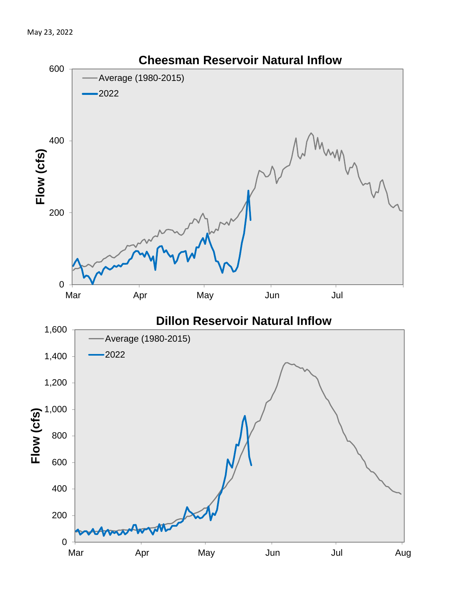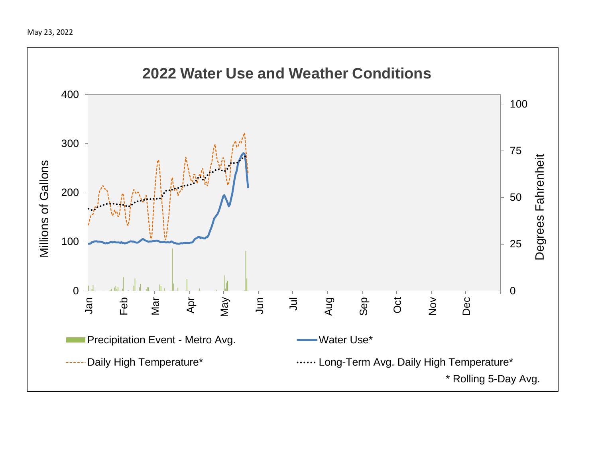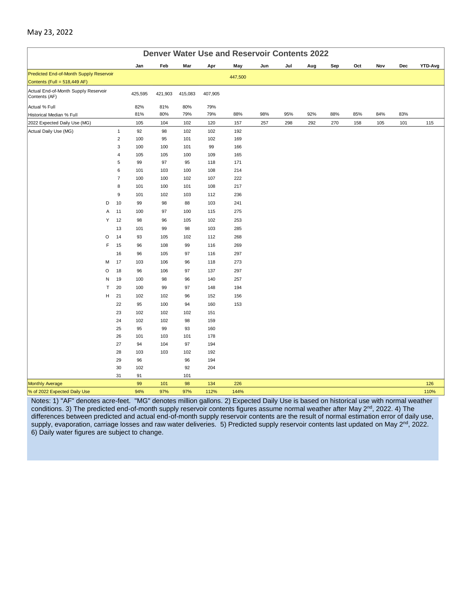|                                                       | <b>Denver Water Use and Reservoir Contents 2022</b> |                     |            |            |            |            |            |     |     |     |     |     |     |            |         |
|-------------------------------------------------------|-----------------------------------------------------|---------------------|------------|------------|------------|------------|------------|-----|-----|-----|-----|-----|-----|------------|---------|
|                                                       |                                                     |                     | Jan        | Feb        | Mar        | Apr        | May        | Jun | Jul | Aug | Sep | Oct | Nov | <b>Dec</b> | YTD-Avg |
| Predicted End-of-Month Supply Reservoir               |                                                     |                     |            |            |            |            | 447,500    |     |     |     |     |     |     |            |         |
| Contents (Full = $518,449$ AF)                        |                                                     |                     |            |            |            |            |            |     |     |     |     |     |     |            |         |
| Actual End-of-Month Supply Reservoir<br>Contents (AF) |                                                     |                     | 425,595    | 421,903    | 415,083    | 407,905    |            |     |     |     |     |     |     |            |         |
| Actual % Full                                         |                                                     |                     | 82%        | 81%        | 80%        | 79%        |            |     |     |     |     |     |     |            |         |
| Historical Median % Full                              |                                                     |                     | 81%        | 80%        | 79%        | 79%        | 88%        | 98% | 95% | 92% | 88% | 85% | 84% | 83%        |         |
| 2022 Expected Daily Use (MG)                          |                                                     |                     | 105        | 104        | 102        | 120        | 157        | 257 | 298 | 292 | 270 | 158 | 105 | 101        | 115     |
| Actual Daily Use (MG)                                 |                                                     | $\mathbf{1}$        | 92         | 98         | 102        | 102        | 192        |     |     |     |     |     |     |            |         |
|                                                       |                                                     | $\mathbf 2$         | 100        | 95         | 101        | 102        | 169        |     |     |     |     |     |     |            |         |
|                                                       |                                                     | 3                   | 100        | 100        | 101        | 99         | 166        |     |     |     |     |     |     |            |         |
|                                                       |                                                     | $\overline{4}$      | 105        | 105        | 100        | 109        | 165        |     |     |     |     |     |     |            |         |
|                                                       |                                                     | 5                   | 99         | 97         | 95         | 118        | 171        |     |     |     |     |     |     |            |         |
|                                                       |                                                     | 6<br>$\overline{7}$ | 101<br>100 | 103<br>100 | 100<br>102 | 108<br>107 | 214<br>222 |     |     |     |     |     |     |            |         |
|                                                       |                                                     | 8                   | 101        | 100        | 101        | 108        | 217        |     |     |     |     |     |     |            |         |
|                                                       |                                                     | 9                   | 101        | 102        | 103        | 112        | 236        |     |     |     |     |     |     |            |         |
|                                                       | D                                                   | 10                  | 99         | 98         | 88         | 103        | 241        |     |     |     |     |     |     |            |         |
|                                                       | Α                                                   | 11                  | 100        | 97         | 100        | 115        | 275        |     |     |     |     |     |     |            |         |
|                                                       | Y                                                   | 12                  | 98         | 96         | 105        | 102        | 253        |     |     |     |     |     |     |            |         |
|                                                       |                                                     | 13                  | 101        | 99         | 98         | 103        | 285        |     |     |     |     |     |     |            |         |
|                                                       | O                                                   | 14                  | 93         | 105        | 102        | 112        | 268        |     |     |     |     |     |     |            |         |
|                                                       | F                                                   | 15                  | 96         | 108        | 99         | 116        | 269        |     |     |     |     |     |     |            |         |
|                                                       |                                                     | 16                  | 96         | 105        | 97         | 116        | 297        |     |     |     |     |     |     |            |         |
|                                                       | M                                                   | 17                  | 103        | 106        | 96         | 118        | 273        |     |     |     |     |     |     |            |         |
|                                                       | O                                                   | 18                  | 96         | 106        | 97         | 137        | 297        |     |     |     |     |     |     |            |         |
|                                                       | N                                                   | 19                  | 100        | 98         | 96         | 140        | 257        |     |     |     |     |     |     |            |         |
|                                                       | T                                                   | 20                  | 100        | 99         | 97         | 148        | 194        |     |     |     |     |     |     |            |         |
|                                                       | н                                                   | 21                  | 102        | 102        | 96         | 152        | 156        |     |     |     |     |     |     |            |         |
|                                                       |                                                     | 22                  | 95         | 100        | 94         | 160        | 153        |     |     |     |     |     |     |            |         |
|                                                       |                                                     | 23                  | 102        | 102        | 102        | 151        |            |     |     |     |     |     |     |            |         |
|                                                       |                                                     | 24                  | 102        | 102        | 98         | 159        |            |     |     |     |     |     |     |            |         |
|                                                       |                                                     | 25                  | 95         | 99         | 93         | 160        |            |     |     |     |     |     |     |            |         |
|                                                       |                                                     | 26                  | 101        | 103        | 101        | 178        |            |     |     |     |     |     |     |            |         |
|                                                       |                                                     | 27                  | 94         | 104        | 97         | 194        |            |     |     |     |     |     |     |            |         |
|                                                       |                                                     | 28                  | 103        | 103        | 102        | 192        |            |     |     |     |     |     |     |            |         |
|                                                       |                                                     | 29                  | 96         |            | 96         | 194        |            |     |     |     |     |     |     |            |         |
|                                                       |                                                     | 30                  | 102        |            | 92         | 204        |            |     |     |     |     |     |     |            |         |
|                                                       |                                                     | 31                  | 91         |            | 101        |            |            |     |     |     |     |     |     |            |         |
| <b>Monthly Average</b>                                |                                                     |                     | 99         | 101        | 98         | 134        | 226        |     |     |     |     |     |     |            | 126     |
| % of 2022 Expected Daily Use                          |                                                     |                     | 94%        | 97%        | 97%        | 112%       | 144%       |     |     |     |     |     |     |            | 110%    |

#### Notes: 1) "AF" denotes acre-feet. "MG" denotes million gallons. 2) Expected Daily Use is based on historical use with normal weather conditions. 3) The predicted end-of-month supply reservoir contents figures assume normal weather after May 2<sup>nd</sup>, 2022. 4) The differences between predicted and actual end-of-month supply reservoir contents are the result of normal estimation error of daily use, supply, evaporation, carriage losses and raw water deliveries. 5) Predicted supply reservoir contents last updated on May 2<sup>nd</sup>, 2022. 6) Daily water figures are subject to change.